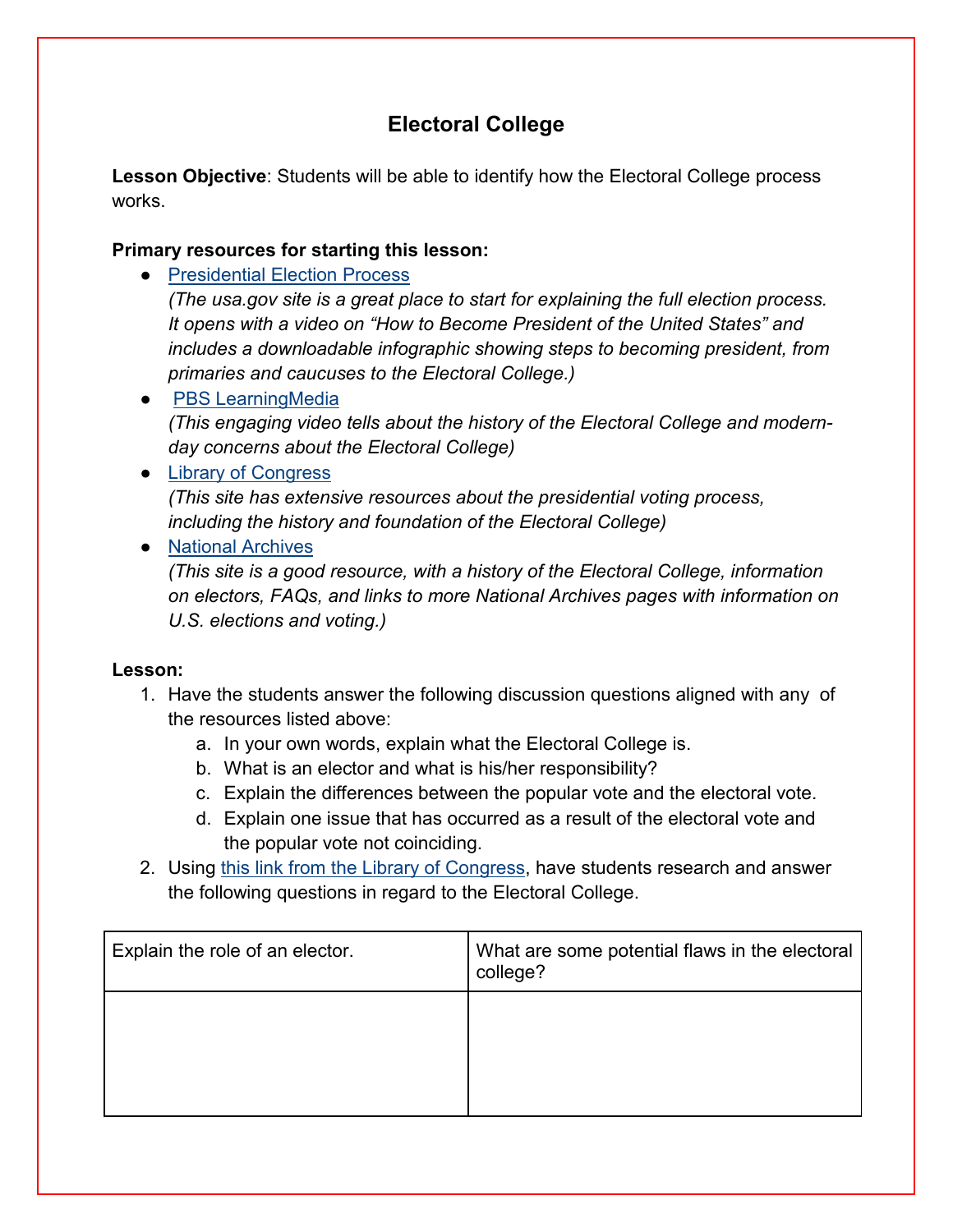# **Electoral College**

**Lesson Objective**: Students will be able to identify how the Electoral College process works.

## **Primary resources for starting this lesson:**

● [Presidential Election Process](https://www.usa.gov/election)

*(The usa.gov site is a great place to start for explaining the full election process. It opens with a video on "How to Become President of the United States" and includes a downloadable infographic showing steps to becoming president, from primaries and caucuses to the Electoral College.)* 

● [PBS LearningMedia](https://kera.pbslearningmedia.org/resource/is-the-electoral-college-killing-democracy-video/above-the-noise/) *(This engaging video tells about the history of the Electoral College and modernday concerns about the Electoral College)*

## ● [Library of Congress](https://www.loc.gov/teachers/classroommaterials/presentationsandactivities/presentations/elections/electoral-college.html)

*(This site has extensive resources about the presidential voting process, including the history and foundation of the Electoral College)*

# ● [National Archives](https://www.archives.gov/electoral-college)

*(This site is a good resource, with a history of the Electoral College, information on electors, FAQs, and links to more National Archives pages with information on U.S. elections and voting.)*

### **Lesson:**

- 1. Have the students answer the following discussion questions aligned with any of the resources listed above:
	- a. In your own words, explain what the Electoral College is.
	- b. What is an elector and what is his/her responsibility?
	- c. Explain the differences between the popular vote and the electoral vote.
	- d. Explain one issue that has occurred as a result of the electoral vote and the popular vote not coinciding.
- 2. Using this [link from the Library of Congress,](https://www.loc.gov/teachers/classroommaterials/presentationsandactivities/presentations/elections/electoral-college.html) have students research and answer the following questions in regard to the Electoral College.

| Explain the role of an elector. | What are some potential flaws in the electoral<br>college? |
|---------------------------------|------------------------------------------------------------|
|                                 |                                                            |
|                                 |                                                            |